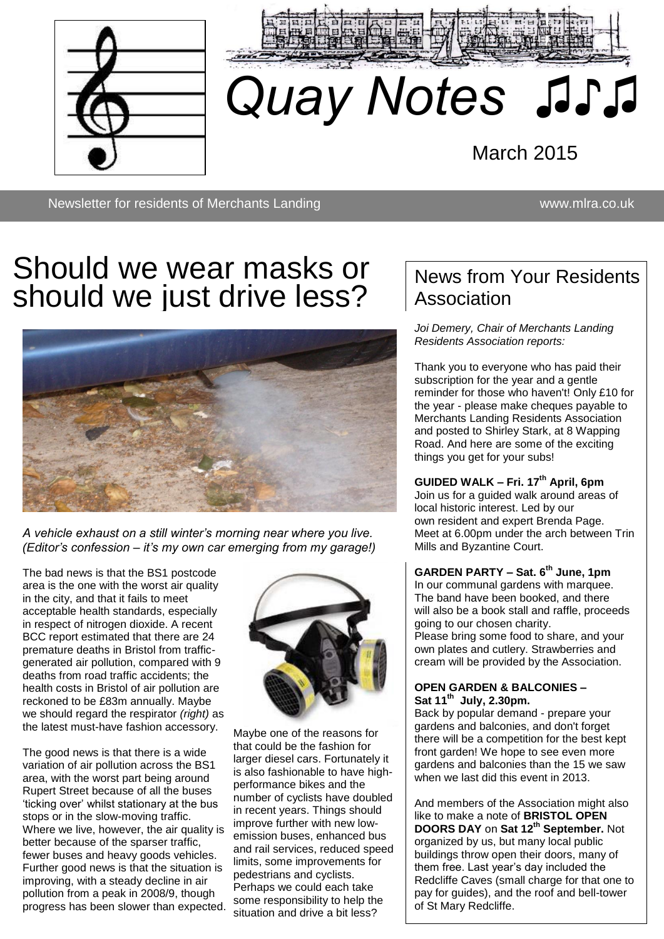



# *Quay Notes ♫♪♫*

March 2015

Newsletter for residents of Merchants Landing www.mlra.co.uk

♫♫

## Should we wear masks or should we just drive less?



*A vehicle exhaust on a still winter's morning near where you live. (Editor's confession – it's my own car emerging from my garage!)* 

The bad news is that the BS1 postcode area is the one with the worst air quality in the city, and that it fails to meet acceptable health standards, especially in respect of nitrogen dioxide. A recent BCC report estimated that there are 24 premature deaths in Bristol from trafficgenerated air pollution, compared with 9 deaths from road traffic accidents; the health costs in Bristol of air pollution are reckoned to be £83m annually. Maybe we should regard the respirator *(right)* as the latest must-have fashion accessory.

The good news is that there is a wide variation of air pollution across the BS1 area, with the worst part being around Rupert Street because of all the buses 'ticking over' whilst stationary at the bus stops or in the slow-moving traffic. Where we live, however, the air quality is better because of the sparser traffic, fewer buses and heavy goods vehicles. Further good news is that the situation is improving, with a steady decline in air pollution from a peak in 2008/9, though progress has been slower than expected.



Maybe one of the reasons for that could be the fashion for larger diesel cars. Fortunately it is also fashionable to have highperformance bikes and the number of cyclists have doubled in recent years. Things should improve further with new lowemission buses, enhanced bus and rail services, reduced speed limits, some improvements for pedestrians and cyclists. Perhaps we could each take some responsibility to help the situation and drive a bit less?

## News from Your Residents **Association**

*Joi Demery, Chair of Merchants Landing Residents Association reports:*

Thank you to everyone who has paid their subscription for the year and a gentle reminder for those who haven't! Only £10 for the year - please make cheques payable to Merchants Landing Residents Association and posted to Shirley Stark, at 8 Wapping Road. And here are some of the exciting things you get for your subs!

**GUIDED WALK – Fri. 17th April, 6pm** Join us for a guided walk around areas of local historic interest. Led by our own resident and expert Brenda Page. Meet at 6.00pm under the arch between Trin Mills and Byzantine Court.

**GARDEN PARTY – Sat. 6th June, 1pm**  In our communal gardens with marquee. The band have been booked, and there will also be a book stall and raffle, proceeds going to our chosen charity. Please bring some food to share, and your

own plates and cutlery. Strawberries and cream will be provided by the Association.

#### **OPEN GARDEN & BALCONIES – Sat 11th July, 2.30pm.**

Back by popular demand - prepare your gardens and balconies, and don't forget there will be a competition for the best kept front garden! We hope to see even more gardens and balconies than the 15 we saw when we last did this event in 2013.

And members of the Association might also like to make a note of **BRISTOL OPEN DOORS DAY** on **Sat 12th September.** Not organized by us, but many local public buildings throw open their doors, many of them free. Last year's day included the Redcliffe Caves (small charge for that one to pay for guides), and the roof and bell-tower of St Mary Redcliffe.